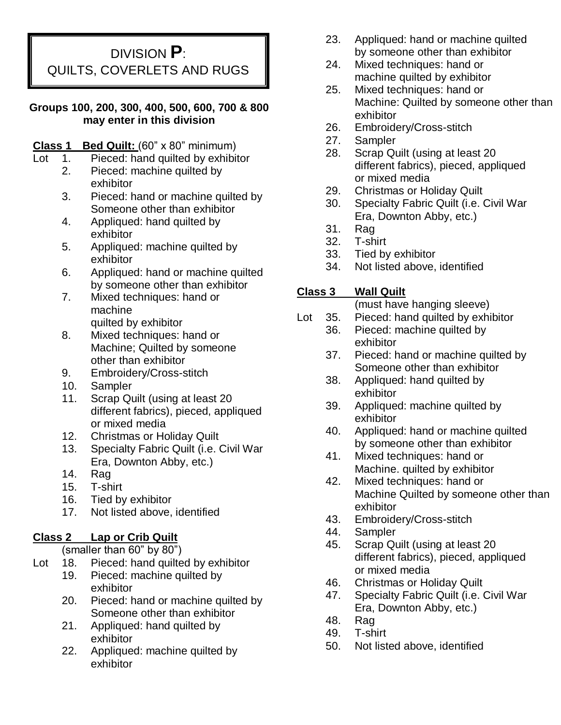DIVISION **P**: QUILTS, COVERLETS AND RUGS

#### **Groups 100, 200, 300, 400, 500, 600, 700 & 800 may enter in this division**

### **Class 1 Bed Quilt:** (60" x 80" minimum)

- Lot 1. Pieced: hand quilted by exhibitor
	- 2. Pieced: machine quilted by exhibitor
	- 3. Pieced: hand or machine quilted by Someone other than exhibitor
	- 4. Appliqued: hand quilted by exhibitor
	- 5. Appliqued: machine quilted by exhibitor
	- 6. Appliqued: hand or machine quilted by someone other than exhibitor
	- 7. Mixed techniques: hand or machine quilted by exhibitor
	- 8. Mixed techniques: hand or Machine; Quilted by someone other than exhibitor
	- 9. Embroidery/Cross-stitch
	- 10. Sampler
	- 11. Scrap Quilt (using at least 20 different fabrics), pieced, appliqued or mixed media
	- 12. Christmas or Holiday Quilt
	- 13. Specialty Fabric Quilt (i.e. Civil War Era, Downton Abby, etc.)
	- 14. Rag
	- 15. T-shirt
	- 16. Tied by exhibitor
	- 17. Not listed above, identified

## **Class 2 Lap or Crib Quilt**

(smaller than 60" by 80")

- Lot 18. Pieced: hand quilted by exhibitor
	- 19. Pieced: machine quilted by exhibitor
	- 20. Pieced: hand or machine quilted by Someone other than exhibitor
	- 21. Appliqued: hand quilted by exhibitor
	- 22. Appliqued: machine quilted by exhibitor
- 23. Appliqued: hand or machine quilted by someone other than exhibitor
- 24. Mixed techniques: hand or machine quilted by exhibitor
- 25. Mixed techniques: hand or Machine: Quilted by someone other than exhibitor
- 26. Embroidery/Cross-stitch
- 27. Sampler
- 28. Scrap Quilt (using at least 20 different fabrics), pieced, appliqued or mixed media
- 29. Christmas or Holiday Quilt
- 30. Specialty Fabric Quilt (i.e. Civil War Era, Downton Abby, etc.)
- 31. Rag
- 32. T-shirt
- 33. Tied by exhibitor
- 34. Not listed above, identified

# **Class 3 Wall Quilt**

(must have hanging sleeve)

- Lot 35. Pieced: hand quilted by exhibitor
	- 36. Pieced: machine quilted by exhibitor
		- 37. Pieced: hand or machine quilted by Someone other than exhibitor
		- 38. Appliqued: hand quilted by exhibitor
		- 39. Appliqued: machine quilted by exhibitor
		- 40. Appliqued: hand or machine quilted by someone other than exhibitor
		- 41. Mixed techniques: hand or Machine. quilted by exhibitor
		- 42. Mixed techniques: hand or Machine Quilted by someone other than exhibitor
		- 43. Embroidery/Cross-stitch
		- 44. Sampler
		- 45. Scrap Quilt (using at least 20 different fabrics), pieced, appliqued or mixed media
		- 46. Christmas or Holiday Quilt
		- 47. Specialty Fabric Quilt (i.e. Civil War Era, Downton Abby, etc.)
		- 48. Rag
		- 49. T-shirt
	- 50. Not listed above, identified